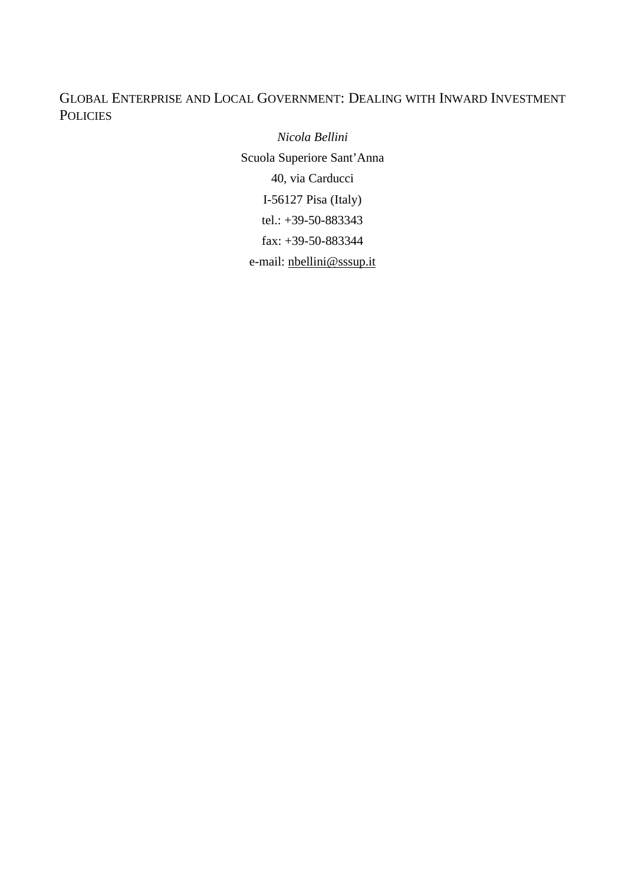# GLOBAL ENTERPRISE AND LOCAL GOVERNMENT: DEALING WITH INWARD INVESTMENT **POLICIES**

*Nicola Bellini* Scuola Superiore Sant'Anna 40, via Carducci I-56127 Pisa (Italy) tel.: +39-50-883343 fax: +39-50-883344 e-mail: nbellini@sssup.it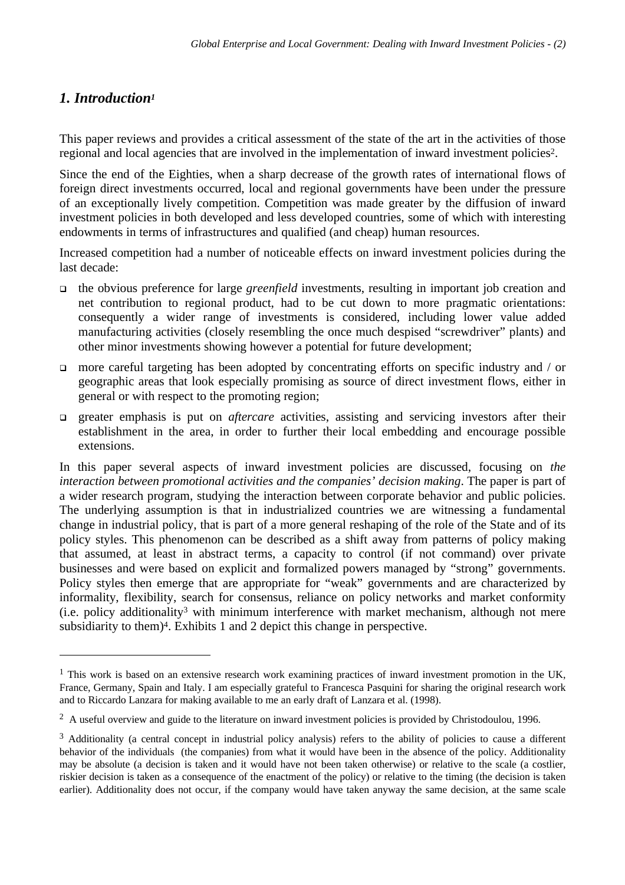# *1. Introduction<sup>1</sup>*

 $\overline{a}$ 

This paper reviews and provides a critical assessment of the state of the art in the activities of those regional and local agencies that are involved in the implementation of inward investment policies<sup>2</sup>.

Since the end of the Eighties, when a sharp decrease of the growth rates of international flows of foreign direct investments occurred, local and regional governments have been under the pressure of an exceptionally lively competition. Competition was made greater by the diffusion of inward investment policies in both developed and less developed countries, some of which with interesting endowments in terms of infrastructures and qualified (and cheap) human resources.

Increased competition had a number of noticeable effects on inward investment policies during the last decade:

- <sup>q</sup> the obvious preference for large *greenfield* investments, resulting in important job creation and net contribution to regional product, had to be cut down to more pragmatic orientations: consequently a wider range of investments is considered, including lower value added manufacturing activities (closely resembling the once much despised "screwdriver" plants) and other minor investments showing however a potential for future development;
- $\Box$  more careful targeting has been adopted by concentrating efforts on specific industry and / or geographic areas that look especially promising as source of direct investment flows, either in general or with respect to the promoting region;
- <sup>q</sup> greater emphasis is put on *aftercare* activities, assisting and servicing investors after their establishment in the area, in order to further their local embedding and encourage possible extensions.

In this paper several aspects of inward investment policies are discussed, focusing on *the interaction between promotional activities and the companies' decision making*. The paper is part of a wider research program, studying the interaction between corporate behavior and public policies. The underlying assumption is that in industrialized countries we are witnessing a fundamental change in industrial policy, that is part of a more general reshaping of the role of the State and of its policy styles. This phenomenon can be described as a shift away from patterns of policy making that assumed, at least in abstract terms, a capacity to control (if not command) over private businesses and were based on explicit and formalized powers managed by "strong" governments. Policy styles then emerge that are appropriate for "weak" governments and are characterized by informality, flexibility, search for consensus, reliance on policy networks and market conformity  $(i.e.$  policy additionality<sup>3</sup> with minimum interference with market mechanism, although not mere subsidiarity to them)<sup>4</sup>. Exhibits 1 and 2 depict this change in perspective.

<sup>&</sup>lt;sup>1</sup> This work is based on an extensive research work examining practices of inward investment promotion in the UK, France, Germany, Spain and Italy. I am especially grateful to Francesca Pasquini for sharing the original research work and to Riccardo Lanzara for making available to me an early draft of Lanzara et al. (1998).

 $2$  A useful overview and guide to the literature on inward investment policies is provided by Christodoulou, 1996.

<sup>&</sup>lt;sup>3</sup> Additionality (a central concept in industrial policy analysis) refers to the ability of policies to cause a different behavior of the individuals (the companies) from what it would have been in the absence of the policy. Additionality may be absolute (a decision is taken and it would have not been taken otherwise) or relative to the scale (a costlier, riskier decision is taken as a consequence of the enactment of the policy) or relative to the timing (the decision is taken earlier). Additionality does not occur, if the company would have taken anyway the same decision, at the same scale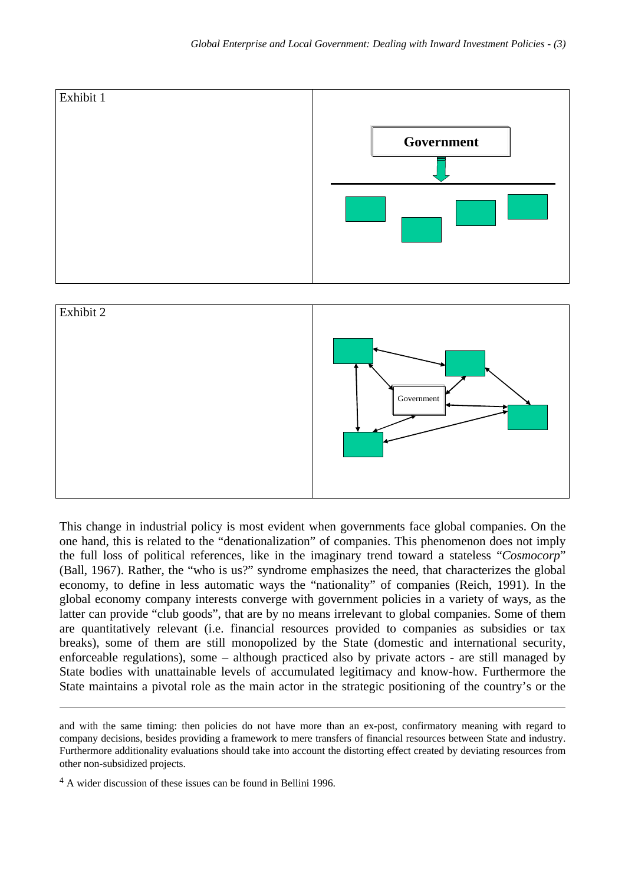

This change in industrial policy is most evident when governments face global companies. On the one hand, this is related to the "denationalization" of companies. This phenomenon does not imply the full loss of political references, like in the imaginary trend toward a stateless "*Cosmocorp*" (Ball, 1967). Rather, the "who is us?" syndrome emphasizes the need, that characterizes the global economy, to define in less automatic ways the "nationality" of companies (Reich, 1991). In the global economy company interests converge with government policies in a variety of ways, as the latter can provide "club goods", that are by no means irrelevant to global companies. Some of them are quantitatively relevant (i.e. financial resources provided to companies as subsidies or tax breaks), some of them are still monopolized by the State (domestic and international security, enforceable regulations), some – although practiced also by private actors - are still managed by State bodies with unattainable levels of accumulated legitimacy and know-how. Furthermore the State maintains a pivotal role as the main actor in the strategic positioning of the country's or the

and with the same timing: then policies do not have more than an ex-post, confirmatory meaning with regard to company decisions, besides providing a framework to mere transfers of financial resources between State and industry. Furthermore additionality evaluations should take into account the distorting effect created by deviating resources from other non-subsidized projects.

<sup>4</sup> A wider discussion of these issues can be found in Bellini 1996.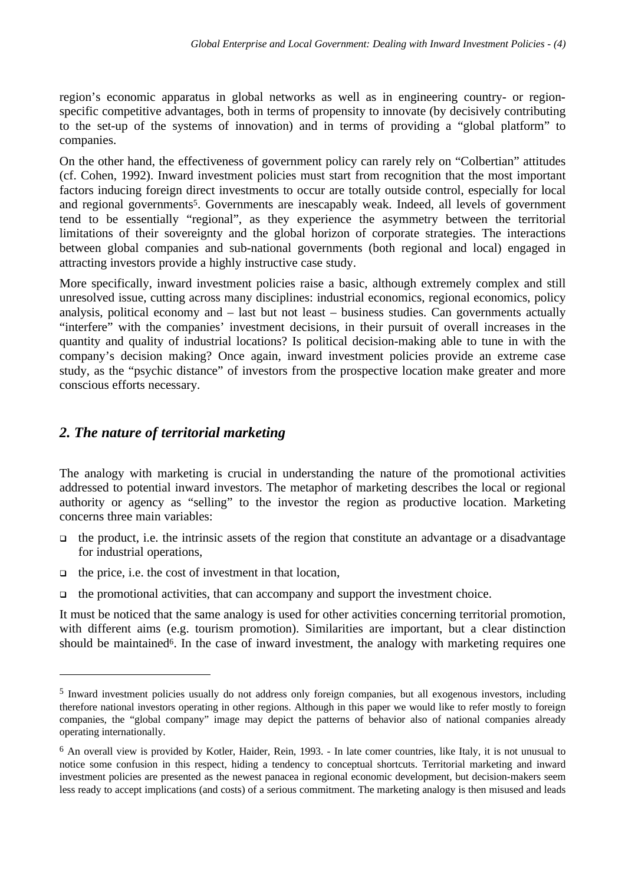region's economic apparatus in global networks as well as in engineering country- or regionspecific competitive advantages, both in terms of propensity to innovate (by decisively contributing to the set-up of the systems of innovation) and in terms of providing a "global platform" to companies.

On the other hand, the effectiveness of government policy can rarely rely on "Colbertian" attitudes (cf. Cohen, 1992). Inward investment policies must start from recognition that the most important factors inducing foreign direct investments to occur are totally outside control, especially for local and regional governments<sup>5</sup>. Governments are inescapably weak. Indeed, all levels of government tend to be essentially "regional", as they experience the asymmetry between the territorial limitations of their sovereignty and the global horizon of corporate strategies. The interactions between global companies and sub-national governments (both regional and local) engaged in attracting investors provide a highly instructive case study.

More specifically, inward investment policies raise a basic, although extremely complex and still unresolved issue, cutting across many disciplines: industrial economics, regional economics, policy analysis, political economy and – last but not least – business studies. Can governments actually "interfere" with the companies' investment decisions, in their pursuit of overall increases in the quantity and quality of industrial locations? Is political decision-making able to tune in with the company's decision making? Once again, inward investment policies provide an extreme case study, as the "psychic distance" of investors from the prospective location make greater and more conscious efforts necessary.

### *2. The nature of territorial marketing*

The analogy with marketing is crucial in understanding the nature of the promotional activities addressed to potential inward investors. The metaphor of marketing describes the local or regional authority or agency as "selling" to the investor the region as productive location. Marketing concerns three main variables:

- $\Box$  the product, i.e. the intrinsic assets of the region that constitute an advantage or a disadvantage for industrial operations,
- $\Box$  the price, i.e. the cost of investment in that location,

 $\overline{a}$ 

 $\Box$  the promotional activities, that can accompany and support the investment choice.

It must be noticed that the same analogy is used for other activities concerning territorial promotion, with different aims (e.g. tourism promotion). Similarities are important, but a clear distinction should be maintained<sup>6</sup>. In the case of inward investment, the analogy with marketing requires one

<sup>&</sup>lt;sup>5</sup> Inward investment policies usually do not address only foreign companies, but all exogenous investors, including therefore national investors operating in other regions. Although in this paper we would like to refer mostly to foreign companies, the "global company" image may depict the patterns of behavior also of national companies already operating internationally.

<sup>&</sup>lt;sup>6</sup> An overall view is provided by Kotler, Haider, Rein, 1993. - In late comer countries, like Italy, it is not unusual to notice some confusion in this respect, hiding a tendency to conceptual shortcuts. Territorial marketing and inward investment policies are presented as the newest panacea in regional economic development, but decision-makers seem less ready to accept implications (and costs) of a serious commitment. The marketing analogy is then misused and leads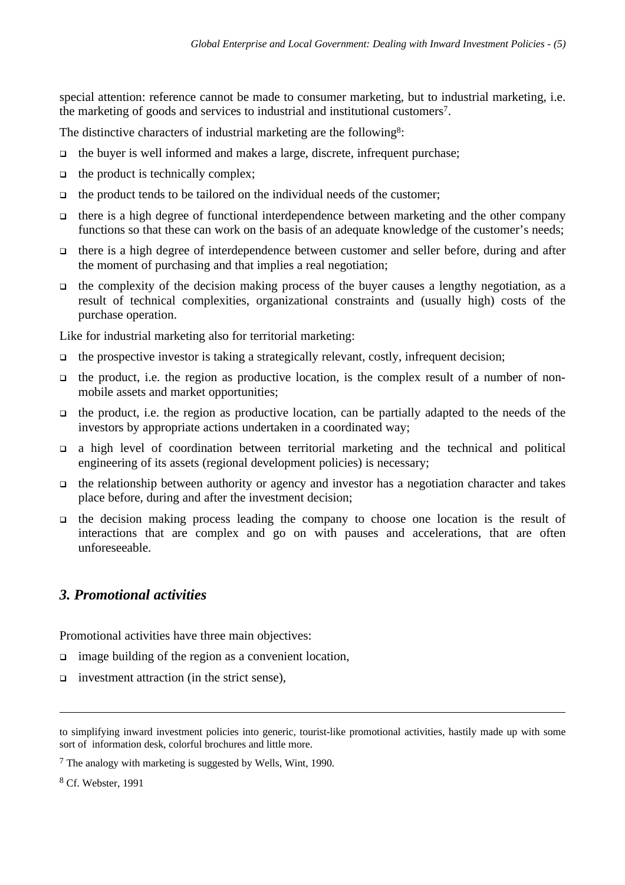special attention: reference cannot be made to consumer marketing, but to industrial marketing, i.e. the marketing of goods and services to industrial and institutional customers<sup>7</sup> .

The distinctive characters of industrial marketing are the following<sup>8</sup>:

- $\Box$  the buyer is well informed and makes a large, discrete, infrequent purchase;
- $\Box$  the product is technically complex;
- $\Box$  the product tends to be tailored on the individual needs of the customer;
- $\Box$  there is a high degree of functional interdependence between marketing and the other company functions so that these can work on the basis of an adequate knowledge of the customer's needs;
- <sup>q</sup> there is a high degree of interdependence between customer and seller before, during and after the moment of purchasing and that implies a real negotiation;
- $\Box$  the complexity of the decision making process of the buyer causes a lengthy negotiation, as a result of technical complexities, organizational constraints and (usually high) costs of the purchase operation.

Like for industrial marketing also for territorial marketing:

- $\Box$  the prospective investor is taking a strategically relevant, costly, infrequent decision;
- <sup>q</sup> the product, i.e. the region as productive location, is the complex result of a number of nonmobile assets and market opportunities;
- $\Box$  the product, i.e. the region as productive location, can be partially adapted to the needs of the investors by appropriate actions undertaken in a coordinated way;
- <sup>q</sup> a high level of coordination between territorial marketing and the technical and political engineering of its assets (regional development policies) is necessary;
- $\Box$  the relationship between authority or agency and investor has a negotiation character and takes place before, during and after the investment decision;
- $\Box$  the decision making process leading the company to choose one location is the result of interactions that are complex and go on with pauses and accelerations, that are often unforeseeable.

## *3. Promotional activities*

Promotional activities have three main objectives:

- $\Box$  image building of the region as a convenient location,
- q investment attraction (in the strict sense),

to simplifying inward investment policies into generic, tourist-like promotional activities, hastily made up with some sort of information desk, colorful brochures and little more.

<sup>7</sup> The analogy with marketing is suggested by Wells, Wint, 1990.

<sup>8</sup> Cf. Webster, 1991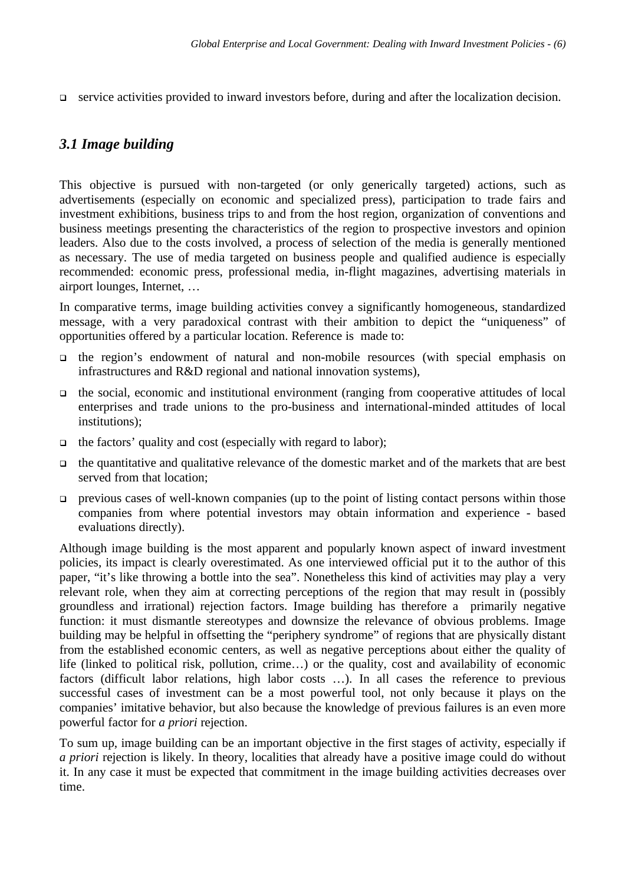□ service activities provided to inward investors before, during and after the localization decision.

### *3.1 Image building*

This objective is pursued with non-targeted (or only generically targeted) actions, such as advertisements (especially on economic and specialized press), participation to trade fairs and investment exhibitions, business trips to and from the host region, organization of conventions and business meetings presenting the characteristics of the region to prospective investors and opinion leaders. Also due to the costs involved, a process of selection of the media is generally mentioned as necessary. The use of media targeted on business people and qualified audience is especially recommended: economic press, professional media, in-flight magazines, advertising materials in airport lounges, Internet, …

In comparative terms, image building activities convey a significantly homogeneous, standardized message, with a very paradoxical contrast with their ambition to depict the "uniqueness" of opportunities offered by a particular location. Reference is made to:

- <sup>q</sup> the region's endowment of natural and non-mobile resources (with special emphasis on infrastructures and R&D regional and national innovation systems),
- $\Box$  the social, economic and institutional environment (ranging from cooperative attitudes of local enterprises and trade unions to the pro-business and international-minded attitudes of local institutions);
- $\Box$  the factors' quality and cost (especially with regard to labor);
- $\Box$  the quantitative and qualitative relevance of the domestic market and of the markets that are best served from that location;
- $\Box$  previous cases of well-known companies (up to the point of listing contact persons within those companies from where potential investors may obtain information and experience - based evaluations directly).

Although image building is the most apparent and popularly known aspect of inward investment policies, its impact is clearly overestimated. As one interviewed official put it to the author of this paper, "it's like throwing a bottle into the sea". Nonetheless this kind of activities may play a very relevant role, when they aim at correcting perceptions of the region that may result in (possibly groundless and irrational) rejection factors. Image building has therefore a primarily negative function: it must dismantle stereotypes and downsize the relevance of obvious problems. Image building may be helpful in offsetting the "periphery syndrome" of regions that are physically distant from the established economic centers, as well as negative perceptions about either the quality of life (linked to political risk, pollution, crime…) or the quality, cost and availability of economic factors (difficult labor relations, high labor costs …). In all cases the reference to previous successful cases of investment can be a most powerful tool, not only because it plays on the companies' imitative behavior, but also because the knowledge of previous failures is an even more powerful factor for *a priori* rejection.

To sum up, image building can be an important objective in the first stages of activity, especially if *a priori* rejection is likely. In theory, localities that already have a positive image could do without it. In any case it must be expected that commitment in the image building activities decreases over time.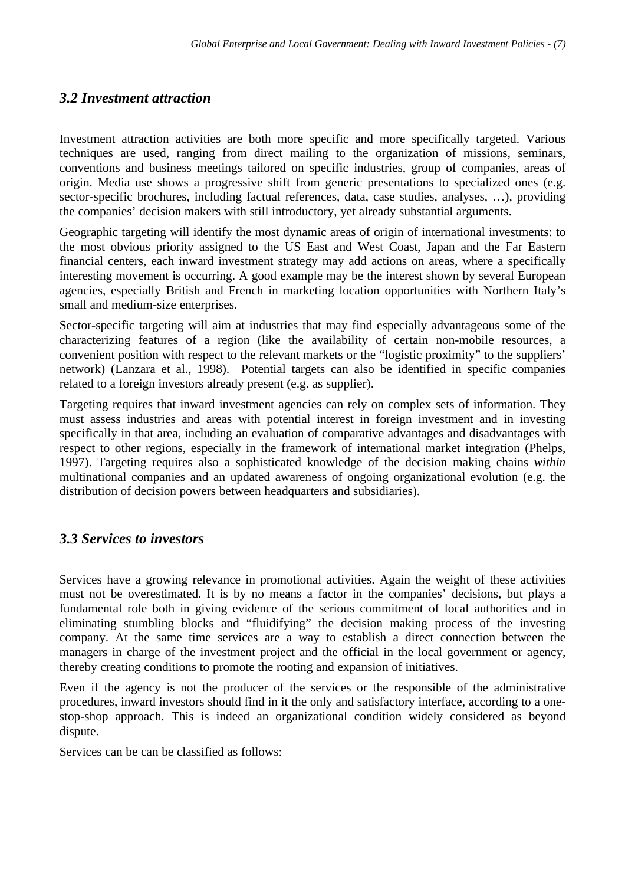## *3.2 Investment attraction*

Investment attraction activities are both more specific and more specifically targeted. Various techniques are used, ranging from direct mailing to the organization of missions, seminars, conventions and business meetings tailored on specific industries, group of companies, areas of origin. Media use shows a progressive shift from generic presentations to specialized ones (e.g. sector-specific brochures, including factual references, data, case studies, analyses, …), providing the companies' decision makers with still introductory, yet already substantial arguments.

Geographic targeting will identify the most dynamic areas of origin of international investments: to the most obvious priority assigned to the US East and West Coast, Japan and the Far Eastern financial centers, each inward investment strategy may add actions on areas, where a specifically interesting movement is occurring. A good example may be the interest shown by several European agencies, especially British and French in marketing location opportunities with Northern Italy's small and medium-size enterprises.

Sector-specific targeting will aim at industries that may find especially advantageous some of the characterizing features of a region (like the availability of certain non-mobile resources, a convenient position with respect to the relevant markets or the "logistic proximity" to the suppliers' network) (Lanzara et al., 1998). Potential targets can also be identified in specific companies related to a foreign investors already present (e.g. as supplier).

Targeting requires that inward investment agencies can rely on complex sets of information. They must assess industries and areas with potential interest in foreign investment and in investing specifically in that area, including an evaluation of comparative advantages and disadvantages with respect to other regions, especially in the framework of international market integration (Phelps, 1997). Targeting requires also a sophisticated knowledge of the decision making chains *within* multinational companies and an updated awareness of ongoing organizational evolution (e.g. the distribution of decision powers between headquarters and subsidiaries).

## *3.3 Services to investors*

Services have a growing relevance in promotional activities. Again the weight of these activities must not be overestimated. It is by no means a factor in the companies' decisions, but plays a fundamental role both in giving evidence of the serious commitment of local authorities and in eliminating stumbling blocks and "fluidifying" the decision making process of the investing company. At the same time services are a way to establish a direct connection between the managers in charge of the investment project and the official in the local government or agency, thereby creating conditions to promote the rooting and expansion of initiatives.

Even if the agency is not the producer of the services or the responsible of the administrative procedures, inward investors should find in it the only and satisfactory interface, according to a onestop-shop approach. This is indeed an organizational condition widely considered as beyond dispute.

Services can be can be classified as follows: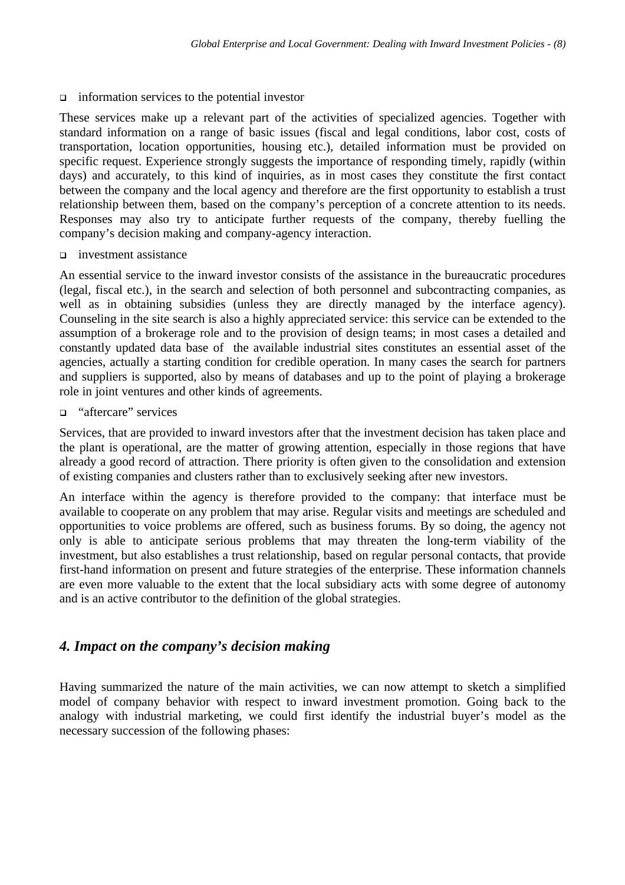#### $\Box$  information services to the potential investor

These services make up a relevant part of the activities of specialized agencies. Together with standard information on a range of basic issues (fiscal and legal conditions, labor cost, costs of transportation, location opportunities, housing etc.), detailed information must be provided on specific request. Experience strongly suggests the importance of responding timely, rapidly (within days) and accurately, to this kind of inquiries, as in most cases they constitute the first contact between the company and the local agency and therefore are the first opportunity to establish a trust relationship between them, based on the company's perception of a concrete attention to its needs. Responses may also try to anticipate further requests of the company, thereby fuelling the company's decision making and company-agency interaction.

<sup>q</sup> investment assistance

An essential service to the inward investor consists of the assistance in the bureaucratic procedures (legal, fiscal etc.), in the search and selection of both personnel and subcontracting companies, as well as in obtaining subsidies (unless they are directly managed by the interface agency). Counseling in the site search is also a highly appreciated service: this service can be extended to the assumption of a brokerage role and to the provision of design teams; in most cases a detailed and constantly updated data base of the available industrial sites constitutes an essential asset of the agencies, actually a starting condition for credible operation. In many cases the search for partners and suppliers is supported, also by means of databases and up to the point of playing a brokerage role in joint ventures and other kinds of agreements.

□ "aftercare" services

Services, that are provided to inward investors after that the investment decision has taken place and the plant is operational, are the matter of growing attention, especially in those regions that have already a good record of attraction. There priority is often given to the consolidation and extension of existing companies and clusters rather than to exclusively seeking after new investors.

An interface within the agency is therefore provided to the company: that interface must be available to cooperate on any problem that may arise. Regular visits and meetings are scheduled and opportunities to voice problems are offered, such as business forums. By so doing, the agency not only is able to anticipate serious problems that may threaten the long-term viability of the investment, but also establishes a trust relationship, based on regular personal contacts, that provide first-hand information on present and future strategies of the enterprise. These information channels are even more valuable to the extent that the local subsidiary acts with some degree of autonomy and is an active contributor to the definition of the global strategies.

## *4. Impact on the company's decision making*

Having summarized the nature of the main activities, we can now attempt to sketch a simplified model of company behavior with respect to inward investment promotion. Going back to the analogy with industrial marketing, we could first identify the industrial buyer's model as the necessary succession of the following phases: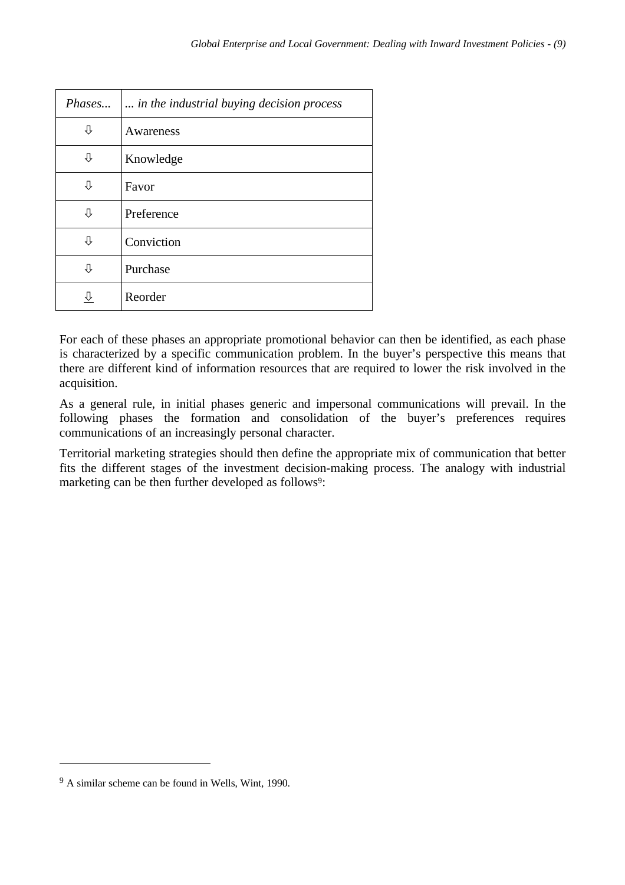| Phases | in the industrial buying decision process |
|--------|-------------------------------------------|
| ⇩      | Awareness                                 |
| ⇩      | Knowledge                                 |
| ⇩      | Favor                                     |
| ⇩      | Preference                                |
| ⇩      | Conviction                                |
| ⇩      | Purchase                                  |
|        | Reorder                                   |

For each of these phases an appropriate promotional behavior can then be identified, as each phase is characterized by a specific communication problem. In the buyer's perspective this means that there are different kind of information resources that are required to lower the risk involved in the acquisition.

As a general rule, in initial phases generic and impersonal communications will prevail. In the following phases the formation and consolidation of the buyer's preferences requires communications of an increasingly personal character.

Territorial marketing strategies should then define the appropriate mix of communication that better fits the different stages of the investment decision-making process. The analogy with industrial marketing can be then further developed as follows<sup>9</sup>:

<sup>&</sup>lt;sup>9</sup> A similar scheme can be found in Wells, Wint, 1990.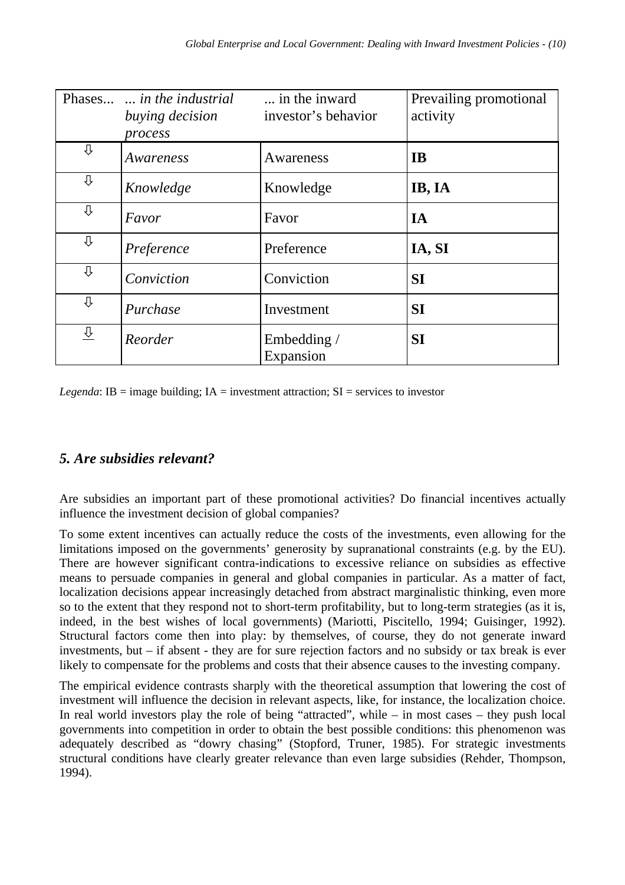|                         | Phases <i>in the industrial</i><br>buying decision<br>process | in the inward<br>investor's behavior | Prevailing promotional<br>activity |
|-------------------------|---------------------------------------------------------------|--------------------------------------|------------------------------------|
| ⇩                       | Awareness                                                     | Awareness                            | <b>IB</b>                          |
| ⇩                       | Knowledge                                                     | Knowledge                            | IB, IA                             |
| ⇩                       | Favor                                                         | Favor                                | IA                                 |
| ⇩                       | Preference                                                    | Preference                           | IA, SI                             |
| ⇩                       | Conviction                                                    | Conviction                           | <b>SI</b>                          |
| ⇩                       | Purchase                                                      | Investment                           | <b>SI</b>                          |
| $\overline{\mathrm{G}}$ | Reorder                                                       | Embedding /<br>Expansion             | <b>SI</b>                          |

*Legenda*: IB = image building; IA = investment attraction;  $SI$  = services to investor

# *5. Are subsidies relevant?*

Are subsidies an important part of these promotional activities? Do financial incentives actually influence the investment decision of global companies?

To some extent incentives can actually reduce the costs of the investments, even allowing for the limitations imposed on the governments' generosity by supranational constraints (e.g. by the EU). There are however significant contra-indications to excessive reliance on subsidies as effective means to persuade companies in general and global companies in particular. As a matter of fact, localization decisions appear increasingly detached from abstract marginalistic thinking, even more so to the extent that they respond not to short-term profitability, but to long-term strategies (as it is, indeed, in the best wishes of local governments) (Mariotti, Piscitello, 1994; Guisinger, 1992). Structural factors come then into play: by themselves, of course, they do not generate inward investments, but – if absent - they are for sure rejection factors and no subsidy or tax break is ever likely to compensate for the problems and costs that their absence causes to the investing company.

The empirical evidence contrasts sharply with the theoretical assumption that lowering the cost of investment will influence the decision in relevant aspects, like, for instance, the localization choice. In real world investors play the role of being "attracted", while – in most cases – they push local governments into competition in order to obtain the best possible conditions: this phenomenon was adequately described as "dowry chasing" (Stopford, Truner, 1985). For strategic investments structural conditions have clearly greater relevance than even large subsidies (Rehder, Thompson, 1994).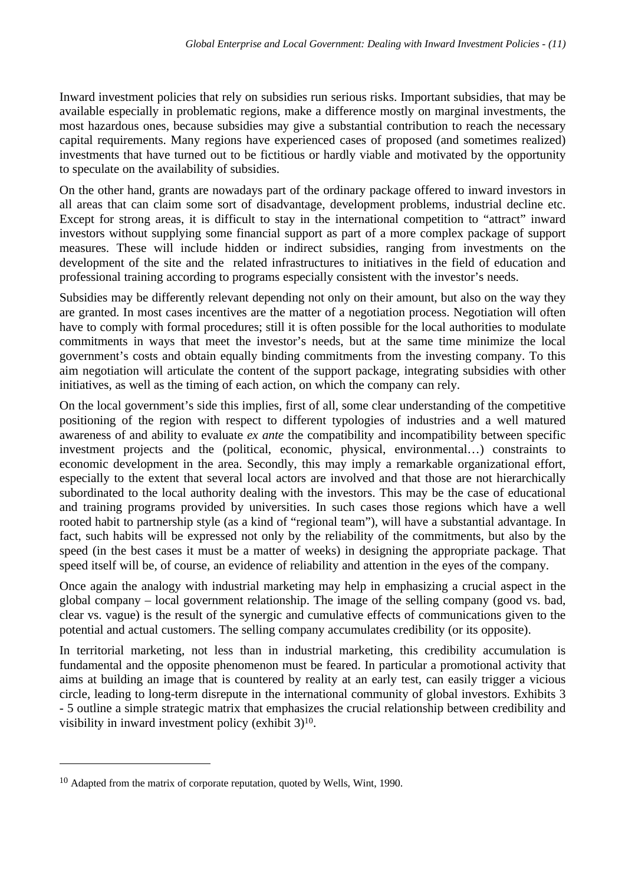Inward investment policies that rely on subsidies run serious risks. Important subsidies, that may be available especially in problematic regions, make a difference mostly on marginal investments, the most hazardous ones, because subsidies may give a substantial contribution to reach the necessary capital requirements. Many regions have experienced cases of proposed (and sometimes realized) investments that have turned out to be fictitious or hardly viable and motivated by the opportunity to speculate on the availability of subsidies.

On the other hand, grants are nowadays part of the ordinary package offered to inward investors in all areas that can claim some sort of disadvantage, development problems, industrial decline etc. Except for strong areas, it is difficult to stay in the international competition to "attract" inward investors without supplying some financial support as part of a more complex package of support measures. These will include hidden or indirect subsidies, ranging from investments on the development of the site and the related infrastructures to initiatives in the field of education and professional training according to programs especially consistent with the investor's needs.

Subsidies may be differently relevant depending not only on their amount, but also on the way they are granted. In most cases incentives are the matter of a negotiation process. Negotiation will often have to comply with formal procedures; still it is often possible for the local authorities to modulate commitments in ways that meet the investor's needs, but at the same time minimize the local government's costs and obtain equally binding commitments from the investing company. To this aim negotiation will articulate the content of the support package, integrating subsidies with other initiatives, as well as the timing of each action, on which the company can rely.

On the local government's side this implies, first of all, some clear understanding of the competitive positioning of the region with respect to different typologies of industries and a well matured awareness of and ability to evaluate *ex ante* the compatibility and incompatibility between specific investment projects and the (political, economic, physical, environmental…) constraints to economic development in the area. Secondly, this may imply a remarkable organizational effort, especially to the extent that several local actors are involved and that those are not hierarchically subordinated to the local authority dealing with the investors. This may be the case of educational and training programs provided by universities. In such cases those regions which have a well rooted habit to partnership style (as a kind of "regional team"), will have a substantial advantage. In fact, such habits will be expressed not only by the reliability of the commitments, but also by the speed (in the best cases it must be a matter of weeks) in designing the appropriate package. That speed itself will be, of course, an evidence of reliability and attention in the eyes of the company.

Once again the analogy with industrial marketing may help in emphasizing a crucial aspect in the global company – local government relationship. The image of the selling company (good vs. bad, clear vs. vague) is the result of the synergic and cumulative effects of communications given to the potential and actual customers. The selling company accumulates credibility (or its opposite).

In territorial marketing, not less than in industrial marketing, this credibility accumulation is fundamental and the opposite phenomenon must be feared. In particular a promotional activity that aims at building an image that is countered by reality at an early test, can easily trigger a vicious circle, leading to long-term disrepute in the international community of global investors. Exhibits 3 - 5 outline a simple strategic matrix that emphasizes the crucial relationship between credibility and visibility in inward investment policy (exhibit 3)<sup>10</sup>.

<sup>10</sup> Adapted from the matrix of corporate reputation, quoted by Wells, Wint, 1990.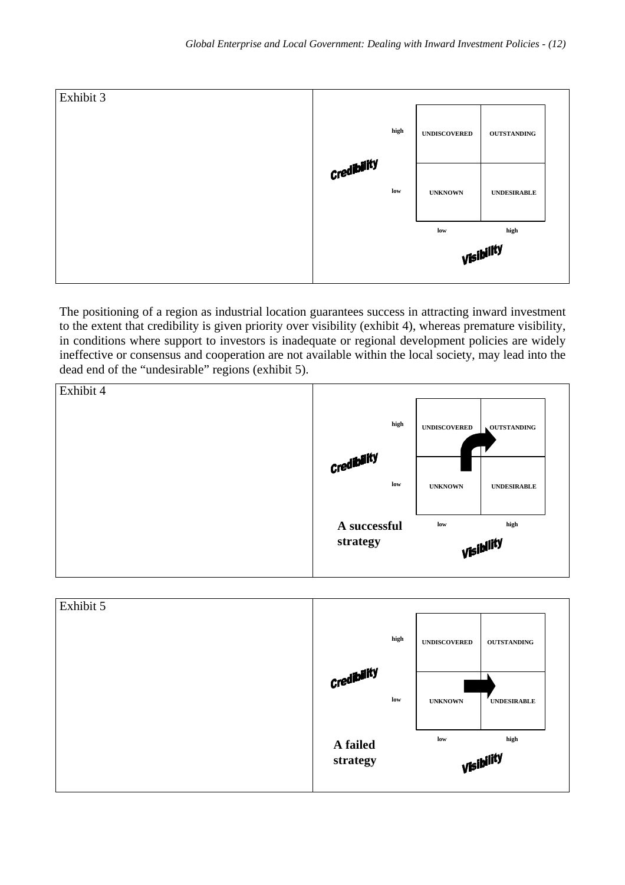

The positioning of a region as industrial location guarantees success in attracting inward investment to the extent that credibility is given priority over visibility (exhibit 4), whereas premature visibility, in conditions where support to investors is inadequate or regional development policies are widely ineffective or consensus and cooperation are not available within the local society, may lead into the dead end of the "undesirable" regions (exhibit 5).



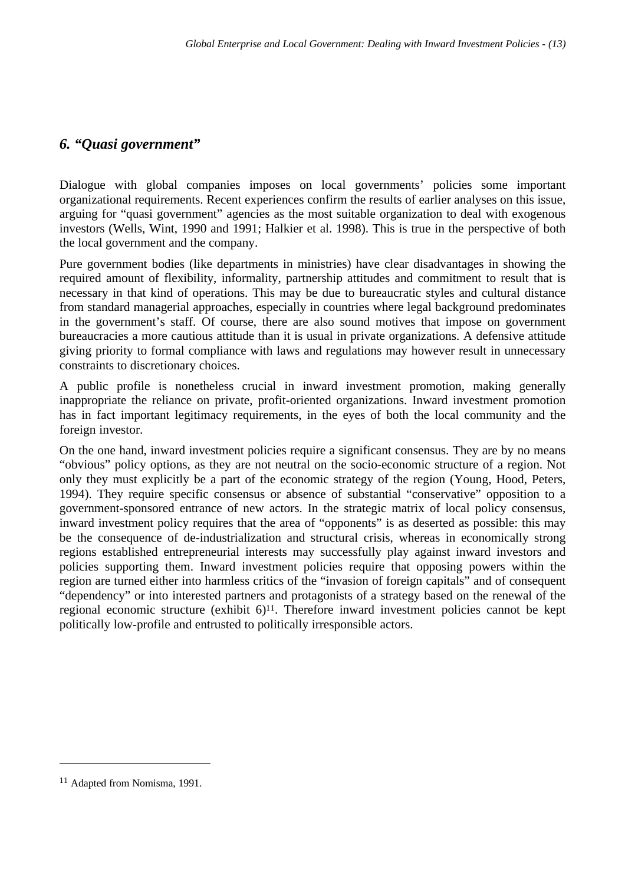### *6. "Quasi government"*

Dialogue with global companies imposes on local governments' policies some important organizational requirements. Recent experiences confirm the results of earlier analyses on this issue, arguing for "quasi government" agencies as the most suitable organization to deal with exogenous investors (Wells, Wint, 1990 and 1991; Halkier et al. 1998). This is true in the perspective of both the local government and the company.

Pure government bodies (like departments in ministries) have clear disadvantages in showing the required amount of flexibility, informality, partnership attitudes and commitment to result that is necessary in that kind of operations. This may be due to bureaucratic styles and cultural distance from standard managerial approaches, especially in countries where legal background predominates in the government's staff. Of course, there are also sound motives that impose on government bureaucracies a more cautious attitude than it is usual in private organizations. A defensive attitude giving priority to formal compliance with laws and regulations may however result in unnecessary constraints to discretionary choices.

A public profile is nonetheless crucial in inward investment promotion, making generally inappropriate the reliance on private, profit-oriented organizations. Inward investment promotion has in fact important legitimacy requirements, in the eyes of both the local community and the foreign investor.

On the one hand, inward investment policies require a significant consensus. They are by no means "obvious" policy options, as they are not neutral on the socio-economic structure of a region. Not only they must explicitly be a part of the economic strategy of the region (Young, Hood, Peters, 1994). They require specific consensus or absence of substantial "conservative" opposition to a government-sponsored entrance of new actors. In the strategic matrix of local policy consensus, inward investment policy requires that the area of "opponents" is as deserted as possible: this may be the consequence of de-industrialization and structural crisis, whereas in economically strong regions established entrepreneurial interests may successfully play against inward investors and policies supporting them. Inward investment policies require that opposing powers within the region are turned either into harmless critics of the "invasion of foreign capitals" and of consequent "dependency" or into interested partners and protagonists of a strategy based on the renewal of the regional economic structure (exhibit  $6$ )<sup> $11$ </sup>. Therefore inward investment policies cannot be kept politically low-profile and entrusted to politically irresponsible actors.

<sup>11</sup> Adapted from Nomisma, 1991.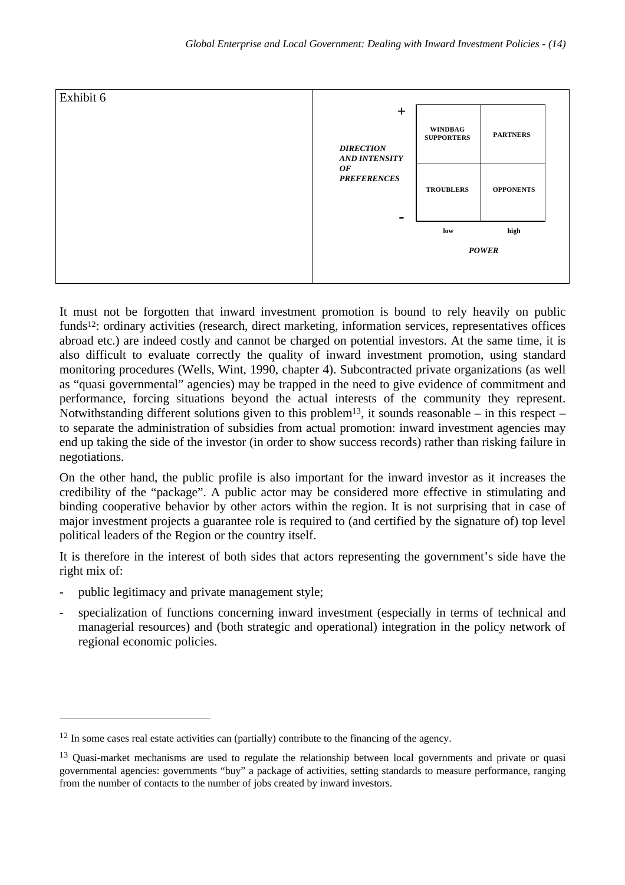

It must not be forgotten that inward investment promotion is bound to rely heavily on public funds<sup>12</sup>: ordinary activities (research, direct marketing, information services, representatives offices abroad etc.) are indeed costly and cannot be charged on potential investors. At the same time, it is also difficult to evaluate correctly the quality of inward investment promotion, using standard monitoring procedures (Wells, Wint, 1990, chapter 4). Subcontracted private organizations (as well as "quasi governmental" agencies) may be trapped in the need to give evidence of commitment and performance, forcing situations beyond the actual interests of the community they represent. Notwithstanding different solutions given to this problem<sup>13</sup>, it sounds reasonable – in this respect – to separate the administration of subsidies from actual promotion: inward investment agencies may end up taking the side of the investor (in order to show success records) rather than risking failure in negotiations.

On the other hand, the public profile is also important for the inward investor as it increases the credibility of the "package". A public actor may be considered more effective in stimulating and binding cooperative behavior by other actors within the region. It is not surprising that in case of major investment projects a guarantee role is required to (and certified by the signature of) top level political leaders of the Region or the country itself.

It is therefore in the interest of both sides that actors representing the government's side have the right mix of:

public legitimacy and private management style;

 $\overline{a}$ 

specialization of functions concerning inward investment (especially in terms of technical and managerial resources) and (both strategic and operational) integration in the policy network of regional economic policies.

<sup>&</sup>lt;sup>12</sup> In some cases real estate activities can (partially) contribute to the financing of the agency.

<sup>&</sup>lt;sup>13</sup> Quasi-market mechanisms are used to regulate the relationship between local governments and private or quasi governmental agencies: governments "buy" a package of activities, setting standards to measure performance, ranging from the number of contacts to the number of jobs created by inward investors.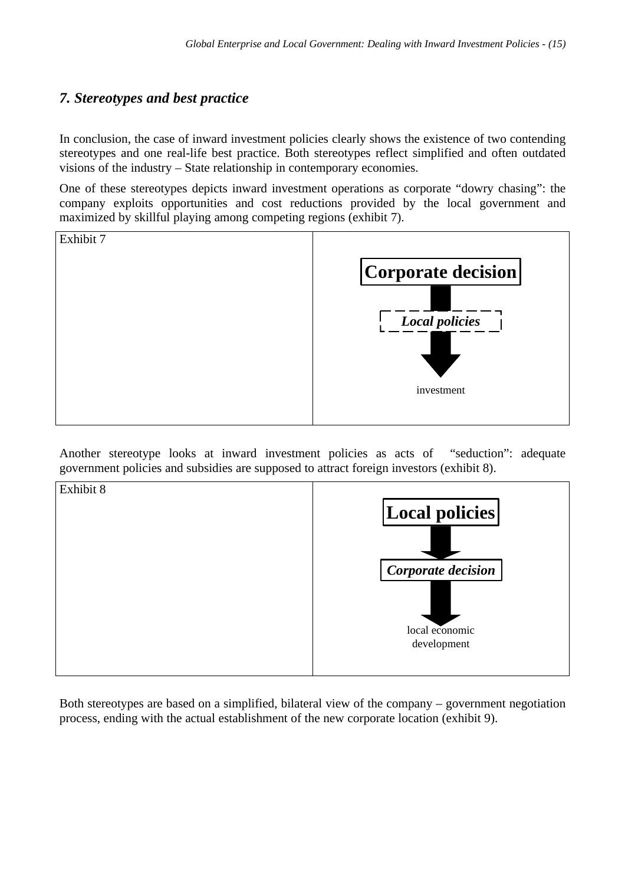# *7. Stereotypes and best practice*

In conclusion, the case of inward investment policies clearly shows the existence of two contending stereotypes and one real-life best practice. Both stereotypes reflect simplified and often outdated visions of the industry – State relationship in contemporary economies.

One of these stereotypes depicts inward investment operations as corporate "dowry chasing": the company exploits opportunities and cost reductions provided by the local government and maximized by skillful playing among competing regions (exhibit 7).



Another stereotype looks at inward investment policies as acts of "seduction": adequate government policies and subsidies are supposed to attract foreign investors (exhibit 8).



Both stereotypes are based on a simplified, bilateral view of the company – government negotiation process, ending with the actual establishment of the new corporate location (exhibit 9).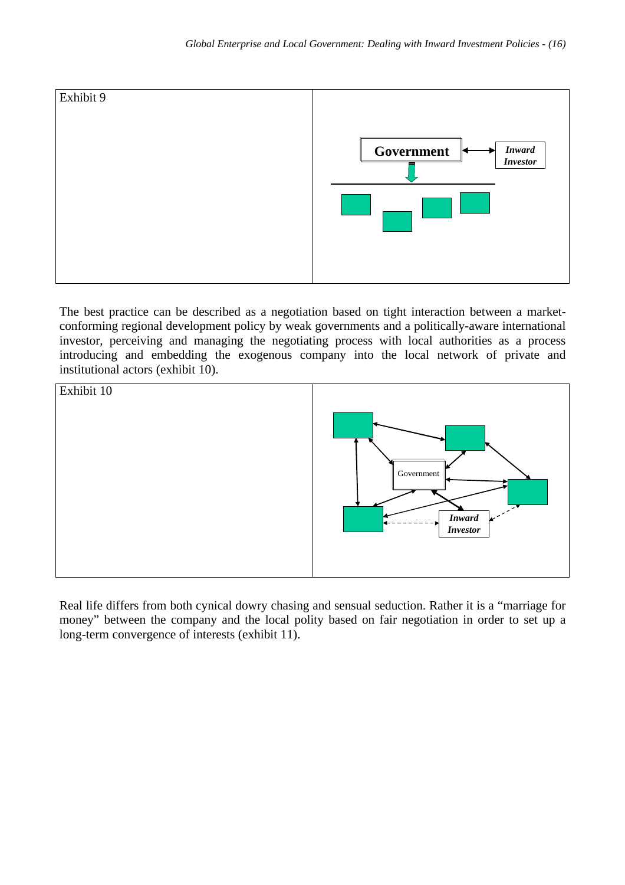

The best practice can be described as a negotiation based on tight interaction between a marketconforming regional development policy by weak governments and a politically-aware international investor, perceiving and managing the negotiating process with local authorities as a process introducing and embedding the exogenous company into the local network of private and institutional actors (exhibit 10).



Real life differs from both cynical dowry chasing and sensual seduction. Rather it is a "marriage for money" between the company and the local polity based on fair negotiation in order to set up a long-term convergence of interests (exhibit 11).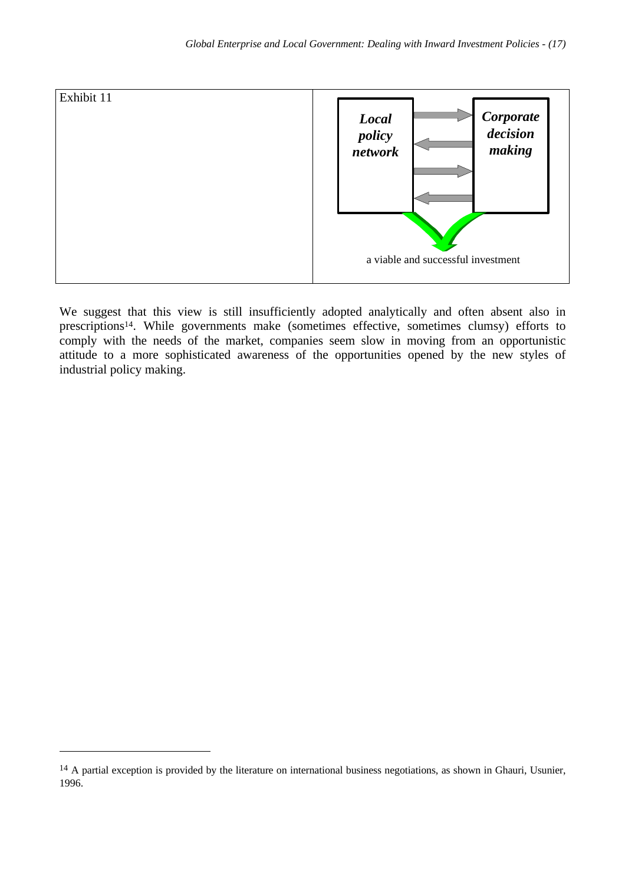

We suggest that this view is still insufficiently adopted analytically and often absent also in prescriptions14. While governments make (sometimes effective, sometimes clumsy) efforts to comply with the needs of the market, companies seem slow in moving from an opportunistic attitude to a more sophisticated awareness of the opportunities opened by the new styles of industrial policy making.

<sup>&</sup>lt;sup>14</sup> A partial exception is provided by the literature on international business negotiations, as shown in Ghauri, Usunier, 1996.